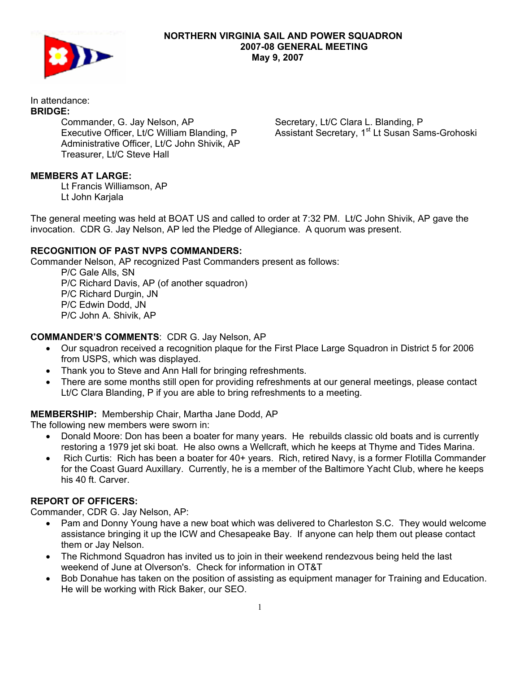

### **NORTHERN VIRGINIA SAIL AND POWER SQUADRON 2007-08 GENERAL MEETING May 9, 2007**

#### In attendance: **BRIDGE:**

 Commander, G. Jay Nelson, AP Executive Officer, Lt/C William Blanding, P Administrative Officer, Lt/C John Shivik, AP Treasurer, Lt/C Steve Hall

Secretary, Lt/C Clara L. Blanding, P Assistant Secretary, 1<sup>st</sup> Lt Susan Sams-Grohoski

# **MEMBERS AT LARGE:**

Lt Francis Williamson, AP Lt John Karjala

The general meeting was held at BOAT US and called to order at 7:32 PM. Lt/C John Shivik, AP gave the invocation. CDR G. Jay Nelson, AP led the Pledge of Allegiance. A quorum was present.

# **RECOGNITION OF PAST NVPS COMMANDERS:**

Commander Nelson, AP recognized Past Commanders present as follows:

 P/C Gale Alls, SN P/C Richard Davis, AP (of another squadron) P/C Richard Durgin, JN P/C Edwin Dodd, JN P/C John A. Shivik, AP

# **COMMANDER'S COMMENTS**: CDR G. Jay Nelson, AP

- Our squadron received a recognition plaque for the First Place Large Squadron in District 5 for 2006 from USPS, which was displayed.
- Thank you to Steve and Ann Hall for bringing refreshments.
- There are some months still open for providing refreshments at our general meetings, please contact Lt/C Clara Blanding, P if you are able to bring refreshments to a meeting.

## **MEMBERSHIP:** Membership Chair, Martha Jane Dodd, AP

The following new members were sworn in:

- Donald Moore: Don has been a boater for many years. He rebuilds classic old boats and is currently restoring a 1979 jet ski boat. He also owns a Wellcraft, which he keeps at Thyme and Tides Marina.
- Rich Curtis: Rich has been a boater for 40+ years. Rich, retired Navy, is a former Flotilla Commander for the Coast Guard Auxillary. Currently, he is a member of the Baltimore Yacht Club, where he keeps his 40 ft. Carver.

## **REPORT OF OFFICERS:**

Commander, CDR G. Jay Nelson, AP:

- Pam and Donny Young have a new boat which was delivered to Charleston S.C. They would welcome assistance bringing it up the ICW and Chesapeake Bay. If anyone can help them out please contact them or Jay Nelson.
- The Richmond Squadron has invited us to join in their weekend rendezvous being held the last weekend of June at Olverson's. Check for information in OT&T
- Bob Donahue has taken on the position of assisting as equipment manager for Training and Education. He will be working with Rick Baker, our SEO.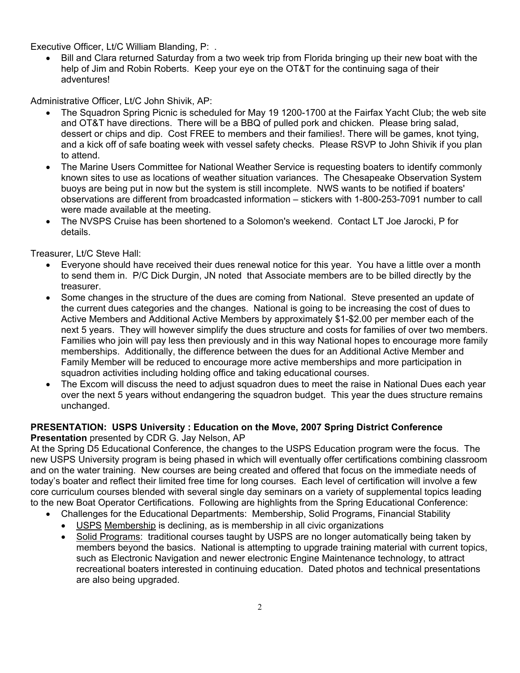Executive Officer, Lt/C William Blanding, P: .

• Bill and Clara returned Saturday from a two week trip from Florida bringing up their new boat with the help of Jim and Robin Roberts. Keep your eye on the OT&T for the continuing saga of their adventures!

Administrative Officer, Lt/C John Shivik, AP:

- The Squadron Spring Picnic is scheduled for May 19 1200-1700 at the Fairfax Yacht Club; the web site and OT&T have directions. There will be a BBQ of pulled pork and chicken. Please bring salad, dessert or chips and dip. Cost FREE to members and their families!. There will be games, knot tying, and a kick off of safe boating week with vessel safety checks. Please RSVP to John Shivik if you plan to attend.
- The Marine Users Committee for National Weather Service is requesting boaters to identify commonly known sites to use as locations of weather situation variances. The Chesapeake Observation System buoys are being put in now but the system is still incomplete. NWS wants to be notified if boaters' observations are different from broadcasted information – stickers with 1-800-253-7091 number to call were made available at the meeting.
- The NVSPS Cruise has been shortened to a Solomon's weekend. Contact LT Joe Jarocki, P for details.

Treasurer, Lt/C Steve Hall:

- Everyone should have received their dues renewal notice for this year. You have a little over a month to send them in. P/C Dick Durgin, JN noted that Associate members are to be billed directly by the treasurer.
- Some changes in the structure of the dues are coming from National. Steve presented an update of the current dues categories and the changes. National is going to be increasing the cost of dues to Active Members and Additional Active Members by approximately \$1-\$2.00 per member each of the next 5 years. They will however simplify the dues structure and costs for families of over two members. Families who join will pay less then previously and in this way National hopes to encourage more family memberships. Additionally, the difference between the dues for an Additional Active Member and Family Member will be reduced to encourage more active memberships and more participation in squadron activities including holding office and taking educational courses.
- The Excom will discuss the need to adjust squadron dues to meet the raise in National Dues each year over the next 5 years without endangering the squadron budget. This year the dues structure remains unchanged.

#### **PRESENTATION: USPS University : Education on the Move, 2007 Spring District Conference Presentation** presented by CDR G. Jay Nelson, AP

At the Spring D5 Educational Conference, the changes to the USPS Education program were the focus. The new USPS University program is being phased in which will eventually offer certifications combining classroom and on the water training. New courses are being created and offered that focus on the immediate needs of today's boater and reflect their limited free time for long courses. Each level of certification will involve a few core curriculum courses blended with several single day seminars on a variety of supplemental topics leading to the new Boat Operator Certifications. Following are highlights from the Spring Educational Conference:

- Challenges for the Educational Departments: Membership, Solid Programs, Financial Stability
	- USPS Membership is declining, as is membership in all civic organizations
	- Solid Programs: traditional courses taught by USPS are no longer automatically being taken by members beyond the basics. National is attempting to upgrade training material with current topics, such as Electronic Navigation and newer electronic Engine Maintenance technology, to attract recreational boaters interested in continuing education. Dated photos and technical presentations are also being upgraded.